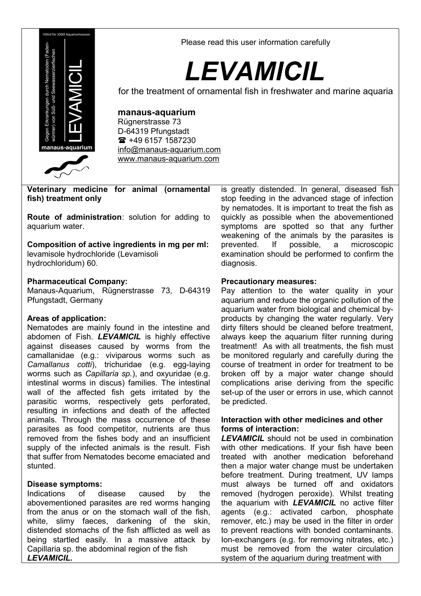

Please read this user information carefully

# *LEVAMICIL*

for the treatment of ornamental fish in freshwater and marine aquaria

## **manaus-aquarium**

Rügnerstrasse 73 D-64319 Pfungstadt 1687230 [info@manaus-aquarium.com](mailto:info@manaus-aquarium.com) www.manaus-aquarium.com

**Veterinary medicine for animal (ornamental fish) treatment only**

**Route of administration**: solution for adding to aquarium water.

**Composition of active ingredients in mg per ml:** levamisole hydrochloride (Levamisoli

hydrochloridum) 60.

#### **Pharmaceutical Company:**

Manaus-Aquarium, Rügnerstrasse 73, D-64319 Pfungstadt, Germany

#### **Areas of application:**

Nematodes are mainly found in the intestine and abdomen of Fish. *LEVAMICIL* is highly effective against diseases caused by worms from the camallanidae (e.g.: viviparous worms such as *Camallanus cotti*), trichuridae (e.g. egg-laying worms such as *Capillaria sp.*), and oxyuridae (e.g. intestinal worms in discus) families. The intestinal wall of the affected fish gets irritated by the parasitic worms, respectively gets perforated, resulting in infections and death of the affected animals. Through the mass occurrence of these parasites as food competitor, nutrients are thus removed from the fishes body and an insufficient supply of the infected animals is the result. Fish that suffer from Nematodes become emaciated and stunted.

#### **Disease symptoms:**

Indications of disease caused by the abovementioned parasites are red worms hanging from the anus or on the stomach wall of the fish, white, slimy faeces, darkening of the skin, distended stomachs of the fish afflicted as well as being startled easily. In a massive attack by Capillaria sp. the abdominal region of the fish *LEVAMICIL.*

is greatly distended. In general, diseased fish stop feeding in the advanced stage of infection by nematodes. It is important to treat the fish as quickly as possible when the abovementioned symptoms are spotted so that any further weakening of the animals by the parasites is prevented. If possible, a microscopic examination should be performed to confirm the diagnosis.

## **Precautionary measures:**

Pay attention to the water quality in your aquarium and reduce the organic pollution of the aquarium water from biological and chemical byproducts by changing the water regularly. Very dirty filters should be cleaned before treatment, always keep the aquarium filter running during treatment! As with all treatments, the fish must be monitored regularly and carefully during the course of treatment in order for treatment to be broken off by a major water change should complications arise deriving from the specific set-up of the user or errors in use, which cannot be predicted.

#### **Interaction with other medicines and other forms of interaction:**

*LEVAMICIL* should not be used in combination with other medications. If your fish have been treated with another medication beforehand then a major water change must be undertaken before treatment. During treatment, UV lamps must always be turned off and oxidators removed (hydrogen peroxide). Whilst treating the aquarium with *LEVAMICIL* no active filter agents (e.g.: activated carbon, phosphate remover, etc.) may be used in the filter in order to prevent reactions with bonded contaminants. Ion-exchangers (e.g. for removing nitrates, etc.) must be removed from the water circulation system of the aquarium during treatment with